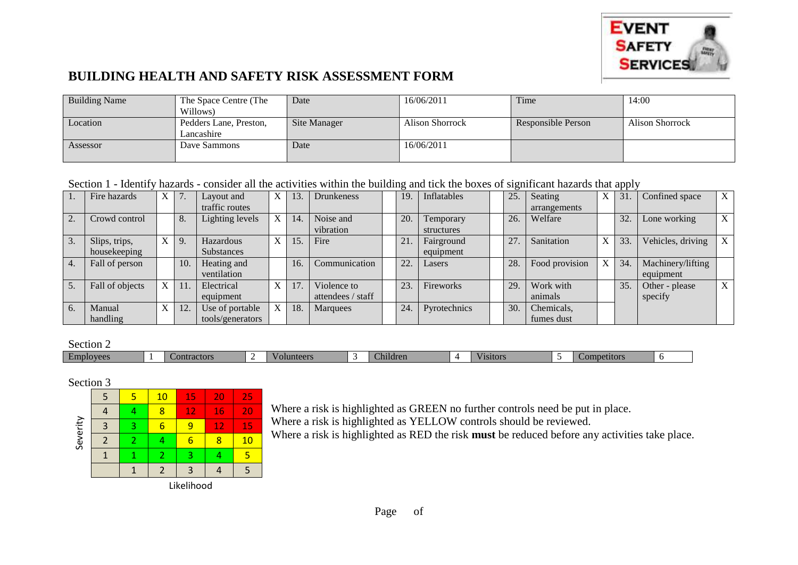

## **BUILDING HEALTH AND SAFETY RISK ASSESSMENT FORM**

| <b>Building Name</b> | The Space Centre (The  | Date         | 16/06/2011      | Time               | 14:00                  |
|----------------------|------------------------|--------------|-----------------|--------------------|------------------------|
|                      | Willows)               |              |                 |                    |                        |
| Location             | Pedders Lane, Preston, | Site Manager | Alison Shorrock | Responsible Person | <b>Alison Shorrock</b> |
|                      | Lancashire             |              |                 |                    |                        |
| Assessor             | Dave Sammons           | Date         | 16/06/2011      |                    |                        |
|                      |                        |              |                 |                    |                        |

Section 1 - Identify hazards - consider all the activities within the building and tick the boxes of significant hazards that apply

|    | Fire hazards    | X            | 7.  | Layout and       | X | 13. | <b>Drunkeness</b> | 19  | Inflatables  | 25. | Seating        | X | $\overline{31}$ . | Confined space    | X                         |
|----|-----------------|--------------|-----|------------------|---|-----|-------------------|-----|--------------|-----|----------------|---|-------------------|-------------------|---------------------------|
|    |                 |              |     | traffic routes   |   |     |                   |     |              |     | arrangements   |   |                   |                   |                           |
|    | Crowd control   |              | 8.  | Lighting levels  | X | 14. | Noise and         | 20. | Temporary    | 26. | Welfare        |   | 32.               | Lone working      | $\boldsymbol{\mathrm{X}}$ |
|    |                 |              |     |                  |   |     | vibration         |     | structures   |     |                |   |                   |                   |                           |
|    | Slips, trips,   | $\mathbf{X}$ | 9.  | Hazardous        | X | 15. | Fire              | 21. | Fairground   | 27  | Sanitation     | X | 33.               | Vehicles, driving | $\mathbf{X}$              |
|    | housekeeping    |              |     | Substances       |   |     |                   |     | equipment    |     |                |   |                   |                   |                           |
| 4. | Fall of person  |              | 10. | Heating and      |   | 16. | Communication     | 22. | Lasers       | 28  | Food provision | X | 34.               | Machinery/lifting |                           |
|    |                 |              |     | ventilation      |   |     |                   |     |              |     |                |   |                   | equipment         |                           |
|    | Fall of objects | X            |     | Electrical       | X | 17. | Violence to       | 23. | Fireworks    | 29  | Work with      |   | 35.               | Other - please    | X                         |
|    |                 |              |     | equipment        |   |     | attendees / staff |     |              |     | animals        |   |                   | specify           |                           |
| 6. | Manual          |              | 12. | Use of portable  | X | 18. | Marquees          | 24  | Pyrotechnics | 30. | Chemicals,     |   |                   |                   |                           |
|    | handling        |              |     | tools/generators |   |     |                   |     |              |     | fumes dust     |   |                   |                   |                           |

Section 2

| .                |     |     |  |   |  |  |
|------------------|-----|-----|--|---|--|--|
| $E$ m<br>2020 PM | าทเ | . . |  | . |  |  |

## Section 3



Where a risk is highlighted as GREEN no further controls need be put in place. Where a risk is highlighted as YELLOW controls should be reviewed. Where a risk is highlighted as RED the risk **must** be reduced before any activities take place.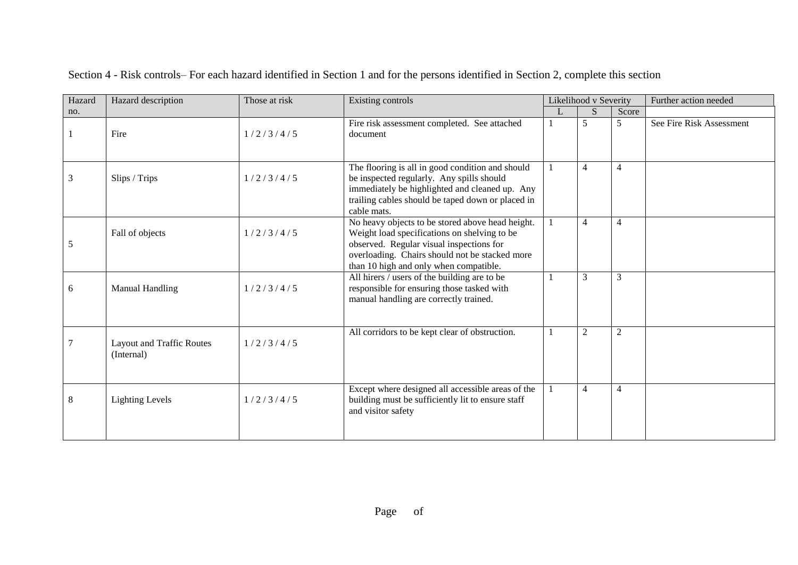| Hazard | Hazard description                             | Those at risk | Existing controls                                                                                                                                                                                                                        | Likelihood v Severity |                |                | Further action needed    |
|--------|------------------------------------------------|---------------|------------------------------------------------------------------------------------------------------------------------------------------------------------------------------------------------------------------------------------------|-----------------------|----------------|----------------|--------------------------|
| no.    |                                                |               |                                                                                                                                                                                                                                          | L                     | S              | Score          |                          |
|        | Fire                                           | 1/2/3/4/5     | Fire risk assessment completed. See attached<br>document                                                                                                                                                                                 |                       | 5              | 5              | See Fire Risk Assessment |
| 3      | Slips / Trips                                  | 1/2/3/4/5     | The flooring is all in good condition and should<br>be inspected regularly. Any spills should<br>immediately be highlighted and cleaned up. Any<br>trailing cables should be taped down or placed in<br>cable mats.                      |                       | $\overline{4}$ | $\overline{4}$ |                          |
| 5      | Fall of objects                                | 1/2/3/4/5     | No heavy objects to be stored above head height.<br>Weight load specifications on shelving to be<br>observed. Regular visual inspections for<br>overloading. Chairs should not be stacked more<br>than 10 high and only when compatible. |                       | $\overline{4}$ | $\overline{4}$ |                          |
| 6      | <b>Manual Handling</b>                         | 1/2/3/4/5     | All hirers / users of the building are to be<br>responsible for ensuring those tasked with<br>manual handling are correctly trained.                                                                                                     |                       | 3              | 3              |                          |
|        | <b>Layout and Traffic Routes</b><br>(Internal) | 1/2/3/4/5     | All corridors to be kept clear of obstruction.                                                                                                                                                                                           |                       | 2              | $\mathfrak{2}$ |                          |
| 8      | <b>Lighting Levels</b>                         | 1/2/3/4/5     | Except where designed all accessible areas of the<br>building must be sufficiently lit to ensure staff<br>and visitor safety                                                                                                             |                       | $\overline{4}$ | $\overline{4}$ |                          |

Section 4 - Risk controls– For each hazard identified in Section 1 and for the persons identified in Section 2, complete this section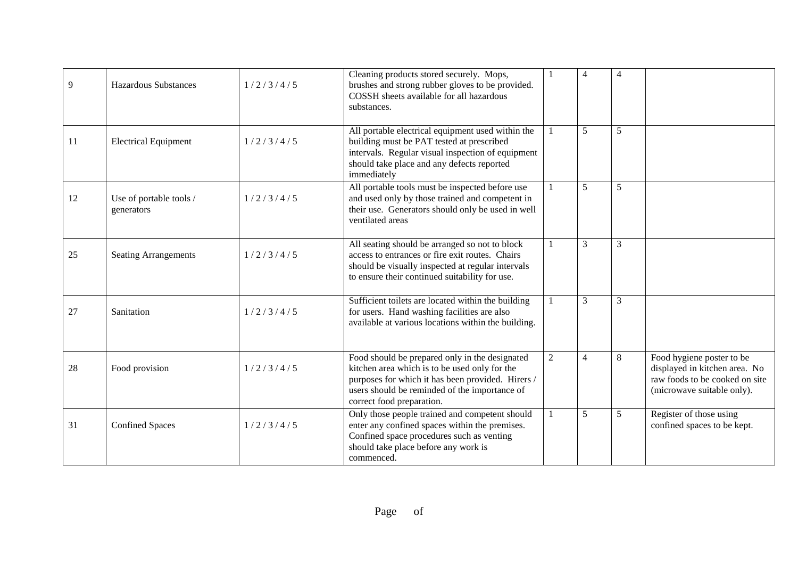| 9  | <b>Hazardous Substances</b>           | 1/2/3/4/5 | Cleaning products stored securely. Mops,<br>brushes and strong rubber gloves to be provided.<br>COSSH sheets available for all hazardous<br>substances.                                                                            |                | $\overline{A}$ | $\overline{4}$ |                                                                                                                            |
|----|---------------------------------------|-----------|------------------------------------------------------------------------------------------------------------------------------------------------------------------------------------------------------------------------------------|----------------|----------------|----------------|----------------------------------------------------------------------------------------------------------------------------|
| 11 | <b>Electrical Equipment</b>           | 1/2/3/4/5 | All portable electrical equipment used within the<br>building must be PAT tested at prescribed<br>intervals. Regular visual inspection of equipment<br>should take place and any defects reported<br>immediately                   | $\mathbf{1}$   | 5              | 5              |                                                                                                                            |
| 12 | Use of portable tools /<br>generators | 1/2/3/4/5 | All portable tools must be inspected before use<br>and used only by those trained and competent in<br>their use. Generators should only be used in well<br>ventilated areas                                                        | $\mathbf{1}$   | 5              | 5              |                                                                                                                            |
| 25 | <b>Seating Arrangements</b>           | 1/2/3/4/5 | All seating should be arranged so not to block<br>access to entrances or fire exit routes. Chairs<br>should be visually inspected at regular intervals<br>to ensure their continued suitability for use.                           | $\mathbf{1}$   | 3              | 3              |                                                                                                                            |
| 27 | Sanitation                            | 1/2/3/4/5 | Sufficient toilets are located within the building<br>for users. Hand washing facilities are also<br>available at various locations within the building.                                                                           | $\mathbf{1}$   | 3              | 3              |                                                                                                                            |
| 28 | Food provision                        | 1/2/3/4/5 | Food should be prepared only in the designated<br>kitchen area which is to be used only for the<br>purposes for which it has been provided. Hirers /<br>users should be reminded of the importance of<br>correct food preparation. | $\overline{2}$ | $\overline{4}$ | 8              | Food hygiene poster to be<br>displayed in kitchen area. No<br>raw foods to be cooked on site<br>(microwave suitable only). |
| 31 | <b>Confined Spaces</b>                | 1/2/3/4/5 | Only those people trained and competent should<br>enter any confined spaces within the premises.<br>Confined space procedures such as venting<br>should take place before any work is<br>commenced.                                | $\mathbf{1}$   | 5              | 5              | Register of those using<br>confined spaces to be kept.                                                                     |